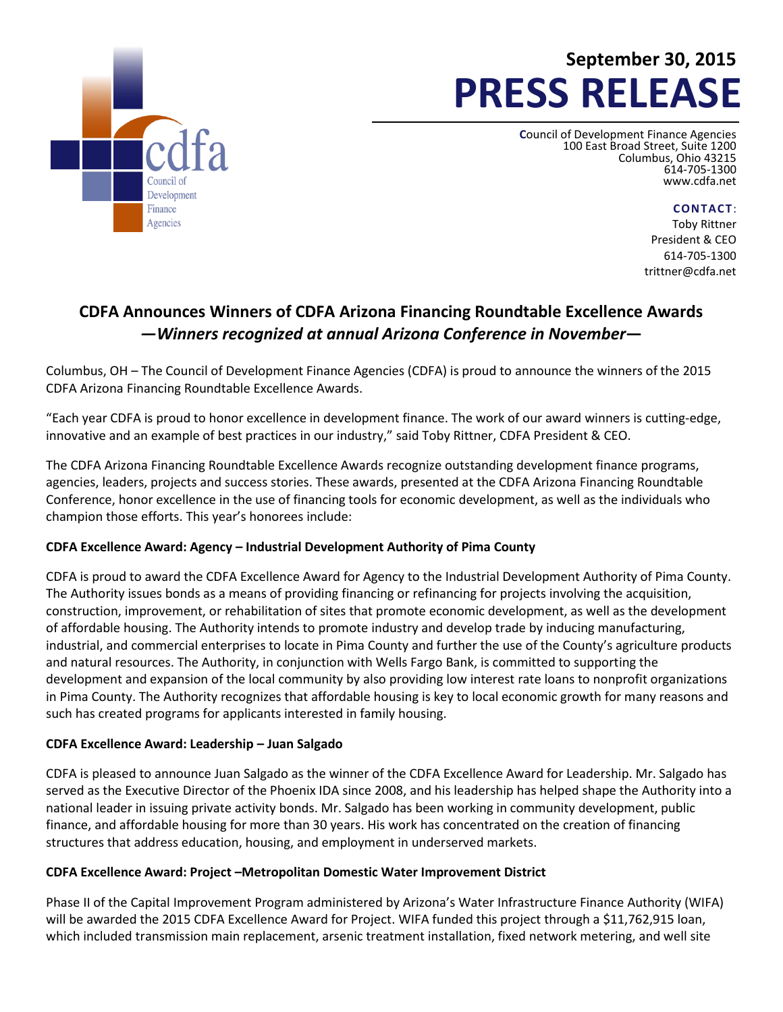

# **September 30, 2015 PRESS RELEASE**

**C**ouncil of Development Finance Agencies 100 East Broad Street, Suite 1200 Columbus, Ohio 43215 614-705-1300 [www.cdfa.net](http://www.cdfa.net/)

**CONTACT**:

Toby Rittner President & CEO 614-705-1300 trittner@cdfa.net

# **CDFA Announces Winners of CDFA Arizona Financing Roundtable Excellence Awards** *—Winners recognized at annual Arizona Conference in November***—**

Columbus, OH – The Council of Development Finance Agencies (CDFA) is proud to announce the winners of the 2015 CDFA Arizona Financing Roundtable Excellence Awards.

"Each year CDFA is proud to honor excellence in development finance. The work of our award winners is cutting-edge, innovative and an example of best practices in our industry," said Toby Rittner, CDFA President & CEO.

The CDFA Arizona Financing Roundtable Excellence Awards recognize outstanding development finance programs, agencies, leaders, projects and success stories. These awards, presented at the CDFA Arizona Financing Roundtable Conference, honor excellence in the use of financing tools for economic development, as well as the individuals who champion those efforts. This year's honorees include:

## **CDFA Excellence Award: Agency – Industrial Development Authority of Pima County**

CDFA is proud to award the CDFA Excellence Award for Agency to the Industrial Development Authority of Pima County. The Authority issues bonds as a means of providing financing or refinancing for projects involving the acquisition, construction, improvement, or rehabilitation of sites that promote economic development, as well as the development of affordable housing. The Authority intends to promote industry and develop trade by inducing manufacturing, industrial, and commercial enterprises to locate in Pima County and further the use of the County's agriculture products and natural resources. The Authority, in conjunction with Wells Fargo Bank, is committed to supporting the development and expansion of the local community by also providing low interest rate loans to nonprofit organizations in Pima County. The Authority recognizes that affordable housing is key to local economic growth for many reasons and such has created programs for applicants interested in family housing.

### **CDFA Excellence Award: Leadership – Juan Salgado**

CDFA is pleased to announce Juan Salgado as the winner of the CDFA Excellence Award for Leadership. Mr. Salgado has served as the Executive Director of the Phoenix IDA since 2008, and his leadership has helped shape the Authority into a national leader in issuing private activity bonds. Mr. Salgado has been working in community development, public finance, and affordable housing for more than 30 years. His work has concentrated on the creation of financing structures that address education, housing, and employment in underserved markets.

### **CDFA Excellence Award: Project –Metropolitan Domestic Water Improvement District**

Phase II of the Capital Improvement Program administered by Arizona's Water Infrastructure Finance Authority (WIFA) will be awarded the 2015 CDFA Excellence Award for Project. WIFA funded this project through a \$11,762,915 loan, which included transmission main replacement, arsenic treatment installation, fixed network metering, and well site